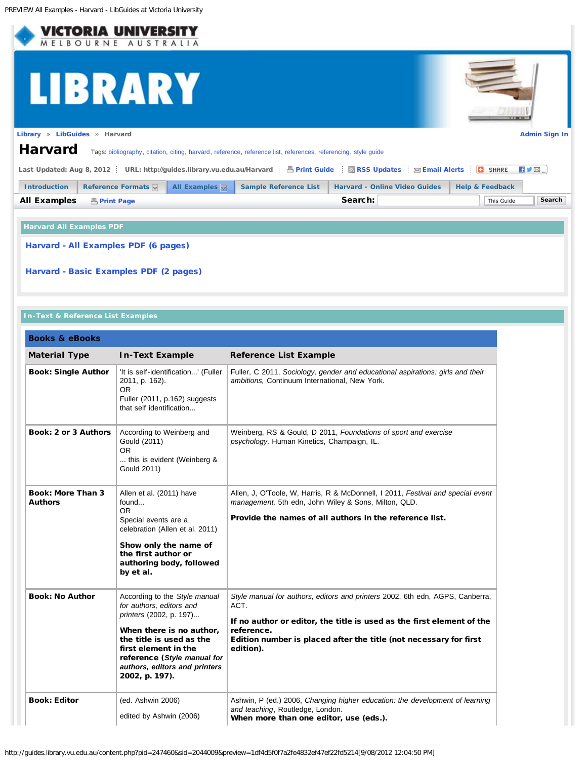<span id="page-0-0"></span>

## **Harvard All Examples PDF**

[Harvard - All Examples PDF \(6 pages\)](http://lgdata.s3-website-us-east-1.amazonaws.com/docs/1909/377580/Harvard_Examples_060312.pdf)

[Harvard - Basic Examples PDF \(2 pages\)](http://lgdata.s3-website-us-east-1.amazonaws.com/docs/1909/377548/Harvard_2_pages_060312.pdf)

## **In-Text & Reference List Examples**

| <b>Books &amp; eBooks</b>                  |                                                                                                                                                                                                                                                        |                                                                                                                                                                                                                                                                |
|--------------------------------------------|--------------------------------------------------------------------------------------------------------------------------------------------------------------------------------------------------------------------------------------------------------|----------------------------------------------------------------------------------------------------------------------------------------------------------------------------------------------------------------------------------------------------------------|
| <b>Material Type</b>                       | <b>In-Text Example</b>                                                                                                                                                                                                                                 | <b>Reference List Example</b>                                                                                                                                                                                                                                  |
| <b>Book: Single Author</b>                 | 'It is self-identification' (Fuller<br>2011, p. 162).<br>OR.<br>Fuller (2011, p.162) suggests<br>that self identification                                                                                                                              | Fuller, C 2011, Sociology, gender and educational aspirations: girls and their<br>ambitions, Continuum International, New York.                                                                                                                                |
| <b>Book: 2 or 3 Authors</b>                | According to Weinberg and<br>Gould (2011)<br>OR.<br>this is evident (Weinberg &<br>Gould 2011)                                                                                                                                                         | Weinberg, RS & Gould, D 2011, Foundations of sport and exercise<br>psychology, Human Kinetics, Champaign, IL.                                                                                                                                                  |
| <b>Book: More Than 3</b><br><b>Authors</b> | Allen et al. (2011) have<br>found<br>OR.<br>Special events are a<br>celebration (Allen et al. 2011)<br>Show only the name of<br>the first author or<br>authoring body, followed<br>by et al.                                                           | Allen, J, O'Toole, W, Harris, R & McDonnell, I 2011, Festival and special event<br>management, 5th edn, John Wiley & Sons, Milton, QLD.<br>Provide the names of all authors in the reference list.                                                             |
| <b>Book: No Author</b>                     | According to the Style manual<br>for authors, editors and<br>printers (2002, p. 197)<br>When there is no author,<br>the title is used as the<br>first element in the<br>reference (Style manual for<br>authors, editors and printers<br>2002, p. 197). | Style manual for authors, editors and printers 2002, 6th edn, AGPS, Canberra,<br>ACT.<br>If no author or editor, the title is used as the first element of the<br>reference.<br>Edition number is placed after the title (not necessary for first<br>edition). |
| <b>Book: Editor</b>                        | (ed. Ashwin 2006)<br>edited by Ashwin (2006)                                                                                                                                                                                                           | Ashwin, P (ed.) 2006, Changing higher education: the development of learning<br>and teaching, Routledge, London.<br>When more than one editor, use (eds.).                                                                                                     |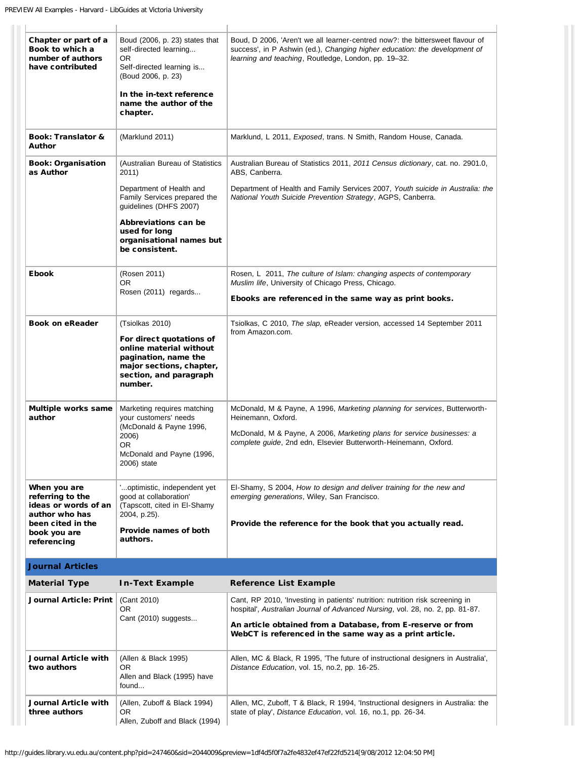| Chapter or part of a<br>Book to which a<br>number of authors<br>have contributed                                               | Boud (2006, p. 23) states that<br>self-directed learning<br>OR.<br>Self-directed learning is<br>(Boud 2006, p. 23)<br>In the in-text reference<br>name the author of the<br>chapter. | Boud, D 2006, 'Aren't we all learner-centred now?: the bittersweet flavour of<br>success', in P Ashwin (ed.), Changing higher education: the development of<br>learning and teaching, Routledge, London, pp. 19-32.                                                                      |
|--------------------------------------------------------------------------------------------------------------------------------|--------------------------------------------------------------------------------------------------------------------------------------------------------------------------------------|------------------------------------------------------------------------------------------------------------------------------------------------------------------------------------------------------------------------------------------------------------------------------------------|
| <b>Book: Translator &amp;</b><br><b>Author</b>                                                                                 | (Marklund 2011)                                                                                                                                                                      | Marklund, L 2011, Exposed, trans. N Smith, Random House, Canada.                                                                                                                                                                                                                         |
| <b>Book: Organisation</b><br>as Author                                                                                         | (Australian Bureau of Statistics<br>2011)                                                                                                                                            | Australian Bureau of Statistics 2011, 2011 Census dictionary, cat. no. 2901.0,<br>ABS, Canberra.                                                                                                                                                                                         |
|                                                                                                                                | Department of Health and<br>Family Services prepared the<br>guidelines (DHFS 2007)                                                                                                   | Department of Health and Family Services 2007, Youth suicide in Australia: the<br>National Youth Suicide Prevention Strategy, AGPS, Canberra.                                                                                                                                            |
|                                                                                                                                | Abbreviations can be<br>used for long<br>organisational names but<br>be consistent.                                                                                                  |                                                                                                                                                                                                                                                                                          |
| <b>Ebook</b>                                                                                                                   | (Rosen 2011)<br>OR.<br>Rosen (2011) regards                                                                                                                                          | Rosen, L 2011, The culture of Islam: changing aspects of contemporary<br>Muslim life, University of Chicago Press, Chicago.                                                                                                                                                              |
|                                                                                                                                |                                                                                                                                                                                      | Ebooks are referenced in the same way as print books.                                                                                                                                                                                                                                    |
| <b>Book on eReader</b>                                                                                                         | (Tsiolkas 2010)<br>For direct quotations of<br>online material without<br>pagination, name the<br>major sections, chapter,<br>section, and paragraph<br>number.                      | Tsiolkas, C 2010, The slap, eReader version, accessed 14 September 2011<br>from Amazon.com.                                                                                                                                                                                              |
| Multiple works same<br>author                                                                                                  | Marketing requires matching<br>your customers' needs<br>(McDonald & Payne 1996,<br>2006)<br>OR.<br>McDonald and Payne (1996,<br>2006) state                                          | McDonald, M & Payne, A 1996, Marketing planning for services, Butterworth-<br>Heinemann, Oxford.<br>McDonald, M & Payne, A 2006, Marketing plans for service businesses: a<br>complete guide, 2nd edn, Elsevier Butterworth-Heinemann, Oxford.                                           |
| When you are<br>referring to the<br>ideas or words of an<br>author who has<br>been cited in the<br>book you are<br>referencing | optimistic, independent yet<br>good at collaboration'<br>(Tapscott, cited in El-Shamy<br>2004, p.25).<br>Provide names of both<br>authors.                                           | El-Shamy, S 2004, How to design and deliver training for the new and<br>emerging generations, Wiley, San Francisco.<br>Provide the reference for the book that you actually read.                                                                                                        |
| <b>Journal Articles</b>                                                                                                        |                                                                                                                                                                                      |                                                                                                                                                                                                                                                                                          |
| <b>Material Type</b>                                                                                                           | <b>In-Text Example</b>                                                                                                                                                               | <b>Reference List Example</b>                                                                                                                                                                                                                                                            |
| <b>Journal Article: Print</b>                                                                                                  | (Cant 2010)<br>OR<br>Cant (2010) suggests                                                                                                                                            | Cant, RP 2010, 'Investing in patients' nutrition: nutrition risk screening in<br>hospital', Australian Journal of Advanced Nursing, vol. 28, no. 2, pp. 81-87.<br>An article obtained from a Database, from E-reserve or from<br>WebCT is referenced in the same way as a print article. |
| Journal Article with<br>two authors                                                                                            | (Allen & Black 1995)<br>0R<br>Allen and Black (1995) have<br>found                                                                                                                   | Allen, MC & Black, R 1995, 'The future of instructional designers in Australia',<br>Distance Education, vol. 15, no.2, pp. 16-25.                                                                                                                                                        |
| Journal Article with<br>three authors                                                                                          | (Allen, Zuboff & Black 1994)<br>0R<br>Allen, Zuboff and Black (1994)                                                                                                                 | Allen, MC, Zuboff, T & Black, R 1994, 'Instructional designers in Australia: the<br>state of play', Distance Education, vol. 16, no.1, pp. 26-34.                                                                                                                                        |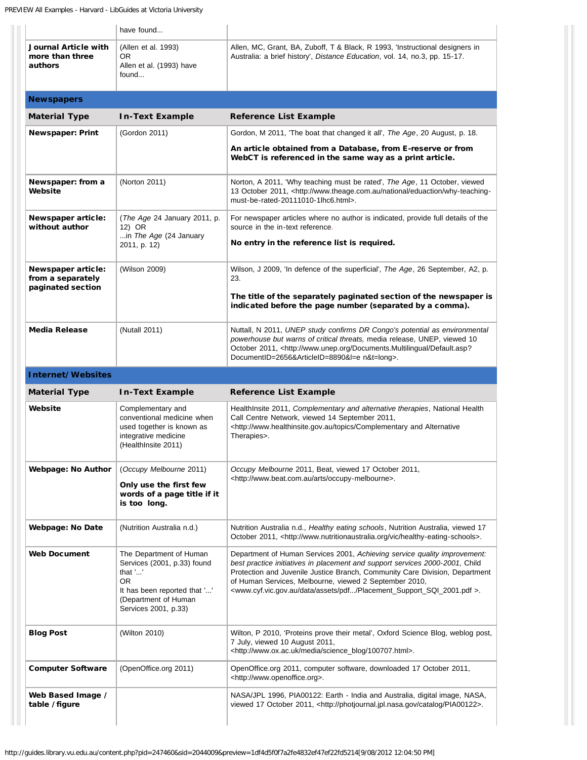|                                                                     | have found                                                                                                                                               |                                                                                                                                                                                                                                                                                                                                                                                                             |
|---------------------------------------------------------------------|----------------------------------------------------------------------------------------------------------------------------------------------------------|-------------------------------------------------------------------------------------------------------------------------------------------------------------------------------------------------------------------------------------------------------------------------------------------------------------------------------------------------------------------------------------------------------------|
| Journal Article with<br>more than three<br>authors                  | (Allen et al. 1993)<br>OR.<br>Allen et al. (1993) have<br>found                                                                                          | Allen, MC, Grant, BA, Zuboff, T & Black, R 1993, 'Instructional designers in<br>Australia: a brief history', Distance Education, vol. 14, no.3, pp. 15-17.                                                                                                                                                                                                                                                  |
| <b>Newspapers</b>                                                   |                                                                                                                                                          |                                                                                                                                                                                                                                                                                                                                                                                                             |
| <b>Material Type</b>                                                | <b>In-Text Example</b>                                                                                                                                   | <b>Reference List Example</b>                                                                                                                                                                                                                                                                                                                                                                               |
| <b>Newspaper: Print</b>                                             | (Gordon 2011)                                                                                                                                            | Gordon, M 2011, 'The boat that changed it all', The Age, 20 August, p. 18.                                                                                                                                                                                                                                                                                                                                  |
|                                                                     |                                                                                                                                                          | An article obtained from a Database, from E-reserve or from<br>WebCT is referenced in the same way as a print article.                                                                                                                                                                                                                                                                                      |
| Newspaper: from a<br>Website                                        | (Norton 2011)                                                                                                                                            | Norton, A 2011, 'Why teaching must be rated', The Age, 11 October, viewed<br>13 October 2011, <http: eduaction="" national="" why-teaching-<br="" www.theage.com.au="">must-be-rated-20111010-1lhc6.html&gt;.</http:>                                                                                                                                                                                       |
| Newspaper article:<br>without author                                | (The Age 24 January 2011, p.<br>12) OR<br>in The Age (24 January<br>2011, p. 12)                                                                         | For newspaper articles where no author is indicated, provide full details of the<br>source in the in-text reference.<br>No entry in the reference list is required.                                                                                                                                                                                                                                         |
| <b>Newspaper article:</b><br>from a separately<br>paginated section | (Wilson 2009)                                                                                                                                            | Wilson, J 2009, 'In defence of the superficial', The Age, 26 September, A2, p.<br>23.<br>The title of the separately paginated section of the newspaper is<br>indicated before the page number (separated by a comma).                                                                                                                                                                                      |
| <b>Media Release</b>                                                | (Nutall 2011)                                                                                                                                            | Nuttall, N 2011, UNEP study confirms DR Congo's potential as environmental<br>powerhouse but warns of critical threats, media release, UNEP, viewed 10<br>October 2011, <http: default.asp?<br="" documents.multilingual="" www.unep.org="">DocumentID=2656&amp;ArticleID=8890&amp;l=e n&amp;t=long&gt;.</http:>                                                                                            |
| Internet/Websites                                                   |                                                                                                                                                          |                                                                                                                                                                                                                                                                                                                                                                                                             |
| <b>Material Type</b>                                                | <b>In-Text Example</b>                                                                                                                                   | <b>Reference List Example</b>                                                                                                                                                                                                                                                                                                                                                                               |
| Website                                                             | Complementary and<br>conventional medicine when<br>used together is known as<br>integrative medicine<br>(HealthInsite 2011)                              | Health Insite 2011, Complementary and alternative therapies, National Health<br>Call Centre Network, viewed 14 September 2011,<br><http: alternative<br="" and="" complementary="" topics="" www.healthinsite.gov.au="">Therapies&gt;.</http:>                                                                                                                                                              |
| <b>Webpage: No Author</b>                                           | (Occupy Melbourne 2011)<br>Only use the first few<br>words of a page title if it<br>is too long.                                                         | Occupy Melbourne 2011, Beat, viewed 17 October 2011,<br><http: arts="" occupy-melbourne="" www.beat.com.au="">.</http:>                                                                                                                                                                                                                                                                                     |
|                                                                     |                                                                                                                                                          |                                                                                                                                                                                                                                                                                                                                                                                                             |
| <b>Webpage: No Date</b>                                             | (Nutrition Australia n.d.)                                                                                                                               | Nutrition Australia n.d., Healthy eating schools, Nutrition Australia, viewed 17<br>October 2011, <http: healthy-eating-schools="" vic="" www.nutritionaustralia.org="">.</http:>                                                                                                                                                                                                                           |
| <b>Web Document</b>                                                 | The Department of Human<br>Services (2001, p.33) found<br>that ''<br>OR.<br>It has been reported that ''<br>(Department of Human<br>Services 2001, p.33) | Department of Human Services 2001, Achieving service quality improvement:<br>best practice initiatives in placement and support services 2000-2001, Child<br>Protection and Juvenile Justice Branch, Community Care Division, Department<br>of Human Services, Melbourne, viewed 2 September 2010,<br><www.cyf.vic.gov.au assets="" data="" pdf="" placement_support_sqi_2001.pdf="">.</www.cyf.vic.gov.au> |
| <b>Blog Post</b>                                                    | (Wilton 2010)                                                                                                                                            | Wilton, P 2010, 'Proteins prove their metal', Oxford Science Blog, weblog post,<br>7 July, viewed 10 August 2011,<br><http: 100707.html="" media="" science_blog="" www.ox.ac.uk="">.</http:>                                                                                                                                                                                                               |
| <b>Computer Software</b>                                            | (OpenOffice.org 2011)                                                                                                                                    | OpenOffice.org 2011, computer software, downloaded 17 October 2011,<br><http: www.openoffice.org="">.</http:>                                                                                                                                                                                                                                                                                               |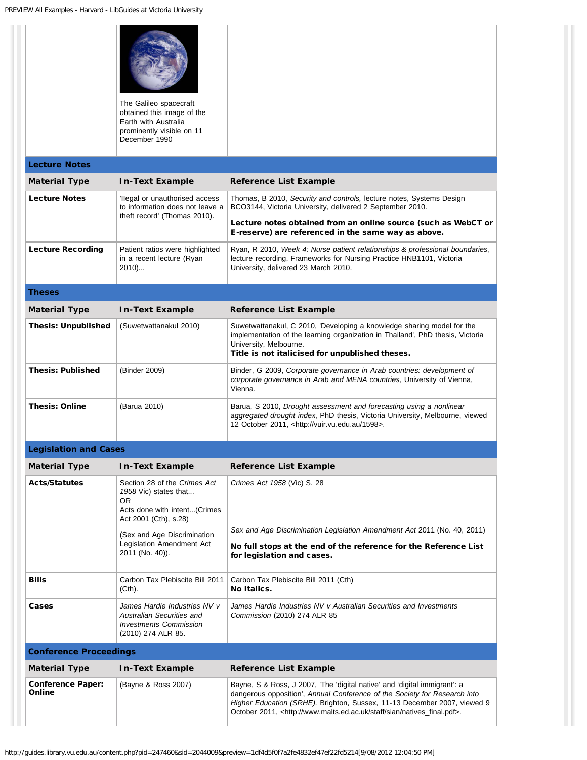|                                    | The Galileo spacecraft<br>obtained this image of the<br>Earth with Australia<br>prominently visible on 11<br>December 1990 |                                                                                                                                                                                                                                                                                                                                  |
|------------------------------------|----------------------------------------------------------------------------------------------------------------------------|----------------------------------------------------------------------------------------------------------------------------------------------------------------------------------------------------------------------------------------------------------------------------------------------------------------------------------|
| <b>Lecture Notes</b>               |                                                                                                                            |                                                                                                                                                                                                                                                                                                                                  |
| <b>Material Type</b>               | <b>In-Text Example</b>                                                                                                     | <b>Reference List Example</b>                                                                                                                                                                                                                                                                                                    |
| <b>Lecture Notes</b>               | llegal or unauthorised access<br>to information does not leave a<br>theft record' (Thomas 2010).                           | Thomas, B 2010, Security and controls, lecture notes, Systems Design<br>BCO3144, Victoria University, delivered 2 September 2010.                                                                                                                                                                                                |
|                                    |                                                                                                                            | Lecture notes obtained from an online source (such as WebCT or<br>E-reserve) are referenced in the same way as above.                                                                                                                                                                                                            |
| <b>Lecture Recording</b>           | Patient ratios were highlighted<br>in a recent lecture (Ryan<br>2010)                                                      | Ryan, R 2010, Week 4: Nurse patient relationships & professional boundaries,<br>lecture recording, Frameworks for Nursing Practice HNB1101, Victoria<br>University, delivered 23 March 2010.                                                                                                                                     |
| Theses                             |                                                                                                                            |                                                                                                                                                                                                                                                                                                                                  |
| <b>Material Type</b>               | <b>In-Text Example</b>                                                                                                     | <b>Reference List Example</b>                                                                                                                                                                                                                                                                                                    |
| <b>Thesis: Unpublished</b>         | (Suwetwattanakul 2010)                                                                                                     | Suwetwattanakul, C 2010, 'Developing a knowledge sharing model for the<br>implementation of the learning organization in Thailand', PhD thesis, Victoria<br>University, Melbourne.<br>Title is not italicised for unpublished theses.                                                                                            |
| <b>Thesis: Published</b>           | (Binder 2009)                                                                                                              | Binder, G 2009, Corporate governance in Arab countries: development of<br>corporate governance in Arab and MENA countries, University of Vienna,<br>Vienna.                                                                                                                                                                      |
| <b>Thesis: Online</b>              | (Barua 2010)                                                                                                               | Barua, S 2010, Drought assessment and forecasting using a nonlinear<br>aggregated drought index, PhD thesis, Victoria University, Melbourne, viewed<br>12 October 2011, <http: 1598="" vuir.vu.edu.au="">.</http:>                                                                                                               |
| <b>Legislation and Cases</b>       |                                                                                                                            |                                                                                                                                                                                                                                                                                                                                  |
| <b>Material Type</b>               | <b>In-Text Example</b>                                                                                                     | <b>Reference List Example</b>                                                                                                                                                                                                                                                                                                    |
| <b>Acts/Statutes</b>               | Section 28 of the Crimes Act<br>1958 Vic) states that<br>OR<br>Acts done with intent(Crimes<br>Act 2001 (Cth), s.28)       | Crimes Act 1958 (Vic) S. 28                                                                                                                                                                                                                                                                                                      |
|                                    | (Sex and Age Discrimination<br>Legislation Amendment Act<br>2011 (No. 40)).                                                | Sex and Age Discrimination Legislation Amendment Act 2011 (No. 40, 2011)<br>No full stops at the end of the reference for the Reference List<br>for legislation and cases.                                                                                                                                                       |
| <b>Bills</b>                       | Carbon Tax Plebiscite Bill 2011<br>(Cth).                                                                                  | Carbon Tax Plebiscite Bill 2011 (Cth)<br>No Italics.                                                                                                                                                                                                                                                                             |
| Cases                              | James Hardie Industries NV v<br>Australian Securities and<br><b>Investments Commission</b><br>(2010) 274 ALR 85.           | James Hardie Industries NV v Australian Securities and Investments<br>Commission (2010) 274 ALR 85                                                                                                                                                                                                                               |
| <b>Conference Proceedings</b>      |                                                                                                                            |                                                                                                                                                                                                                                                                                                                                  |
| <b>Material Type</b>               | <b>In-Text Example</b>                                                                                                     | <b>Reference List Example</b>                                                                                                                                                                                                                                                                                                    |
| <b>Conference Paper:</b><br>Online | (Bayne & Ross 2007)                                                                                                        | Bayne, S & Ross, J 2007, 'The 'digital native' and 'digital immigrant': a<br>dangerous opposition', Annual Conference of the Society for Research into<br>Higher Education (SRHE), Brighton, Sussex, 11-13 December 2007, viewed 9<br>October 2011, <http: natives_final.pdf="" sian="" staff="" www.malts.ed.ac.uk="">.</http:> |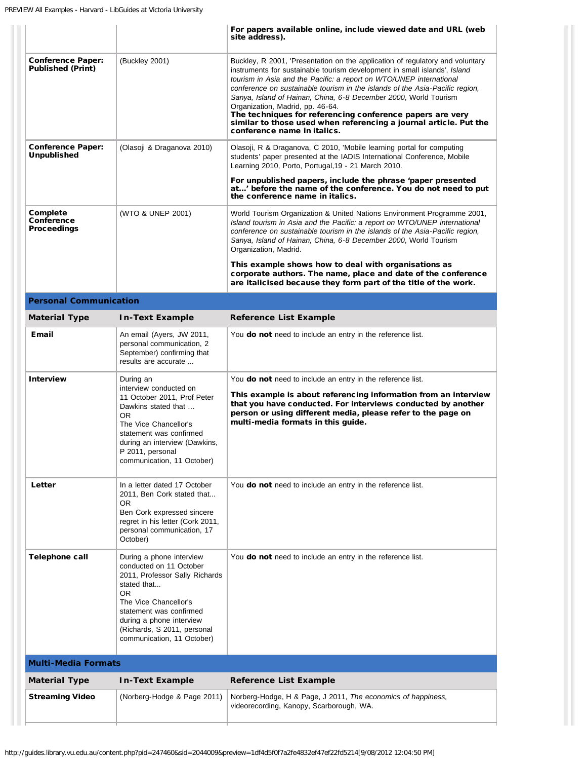|                                                      |                                                                                                                                                                                                                                                          | For papers available online, include viewed date and URL (web<br>site address).                                                                                                                                                                                                                                                                                                                                                                                                                                                                                                            |
|------------------------------------------------------|----------------------------------------------------------------------------------------------------------------------------------------------------------------------------------------------------------------------------------------------------------|--------------------------------------------------------------------------------------------------------------------------------------------------------------------------------------------------------------------------------------------------------------------------------------------------------------------------------------------------------------------------------------------------------------------------------------------------------------------------------------------------------------------------------------------------------------------------------------------|
| <b>Conference Paper:</b><br><b>Published (Print)</b> | (Buckley 2001)                                                                                                                                                                                                                                           | Buckley, R 2001, 'Presentation on the application of regulatory and voluntary<br>instruments for sustainable tourism development in small islands', Island<br>tourism in Asia and the Pacific: a report on WTO/UNEP international<br>conference on sustainable tourism in the islands of the Asia-Pacific region,<br>Sanya, Island of Hainan, China, 6-8 December 2000, World Tourism<br>Organization, Madrid, pp. 46-64.<br>The techniques for referencing conference papers are very<br>similar to those used when referencing a journal article. Put the<br>conference name in italics. |
| <b>Conference Paper:</b><br><b>Unpublished</b>       | (Olasoji & Draganova 2010)                                                                                                                                                                                                                               | Olasoji, R & Draganova, C 2010, 'Mobile learning portal for computing<br>students' paper presented at the IADIS International Conference, Mobile<br>Learning 2010, Porto, Portugal, 19 - 21 March 2010.                                                                                                                                                                                                                                                                                                                                                                                    |
|                                                      |                                                                                                                                                                                                                                                          | For unpublished papers, include the phrase 'paper presented<br>at' before the name of the conference. You do not need to put<br>the conference name in italics.                                                                                                                                                                                                                                                                                                                                                                                                                            |
| Complete<br><b>Conference</b><br><b>Proceedings</b>  | (WTO & UNEP 2001)                                                                                                                                                                                                                                        | World Tourism Organization & United Nations Environment Programme 2001,<br>Island tourism in Asia and the Pacific: a report on WTO/UNEP international<br>conference on sustainable tourism in the islands of the Asia-Pacific region,<br>Sanya, Island of Hainan, China, 6-8 December 2000, World Tourism<br>Organization, Madrid.                                                                                                                                                                                                                                                         |
|                                                      |                                                                                                                                                                                                                                                          | This example shows how to deal with organisations as<br>corporate authors. The name, place and date of the conference<br>are italicised because they form part of the title of the work.                                                                                                                                                                                                                                                                                                                                                                                                   |
| <b>Personal Communication</b>                        |                                                                                                                                                                                                                                                          |                                                                                                                                                                                                                                                                                                                                                                                                                                                                                                                                                                                            |
| <b>Material Type</b>                                 | <b>In-Text Example</b>                                                                                                                                                                                                                                   | <b>Reference List Example</b>                                                                                                                                                                                                                                                                                                                                                                                                                                                                                                                                                              |
| <b>Email</b>                                         | An email (Ayers, JW 2011,<br>personal communication, 2<br>September) confirming that<br>results are accurate                                                                                                                                             | You <b>do not</b> need to include an entry in the reference list.                                                                                                                                                                                                                                                                                                                                                                                                                                                                                                                          |
| <b>Interview</b>                                     | During an<br>interview conducted on<br>11 October 2011, Prof Peter<br>Dawkins stated that<br>OR.<br>The Vice Chancellor's<br>statement was confirmed<br>during an interview (Dawkins,<br>P 2011, personal<br>communication, 11 October)                  | You do not need to include an entry in the reference list.<br>This example is about referencing information from an interview<br>that you have conducted. For interviews conducted by another<br>person or using different media, please refer to the page on<br>multi-media formats in this guide.                                                                                                                                                                                                                                                                                        |
| Letter                                               | In a letter dated 17 October<br>2011, Ben Cork stated that<br>0R<br>Ben Cork expressed sincere<br>regret in his letter (Cork 2011,<br>personal communication, 17<br>October)                                                                             | You <b>do not</b> need to include an entry in the reference list.                                                                                                                                                                                                                                                                                                                                                                                                                                                                                                                          |
| Telephone call                                       | During a phone interview<br>conducted on 11 October<br>2011, Professor Sally Richards<br>stated that<br>OR.<br>The Vice Chancellor's<br>statement was confirmed<br>during a phone interview<br>(Richards, S 2011, personal<br>communication, 11 October) | You do not need to include an entry in the reference list.                                                                                                                                                                                                                                                                                                                                                                                                                                                                                                                                 |
| <b>Multi-Media Formats</b>                           |                                                                                                                                                                                                                                                          |                                                                                                                                                                                                                                                                                                                                                                                                                                                                                                                                                                                            |
| <b>Material Type</b>                                 | <b>In-Text Example</b>                                                                                                                                                                                                                                   | <b>Reference List Example</b>                                                                                                                                                                                                                                                                                                                                                                                                                                                                                                                                                              |
| <b>Streaming Video</b>                               | (Norberg-Hodge & Page 2011)                                                                                                                                                                                                                              | Norberg-Hodge, H & Page, J 2011, The economics of happiness,<br>videorecording, Kanopy, Scarborough, WA.                                                                                                                                                                                                                                                                                                                                                                                                                                                                                   |
|                                                      |                                                                                                                                                                                                                                                          |                                                                                                                                                                                                                                                                                                                                                                                                                                                                                                                                                                                            |